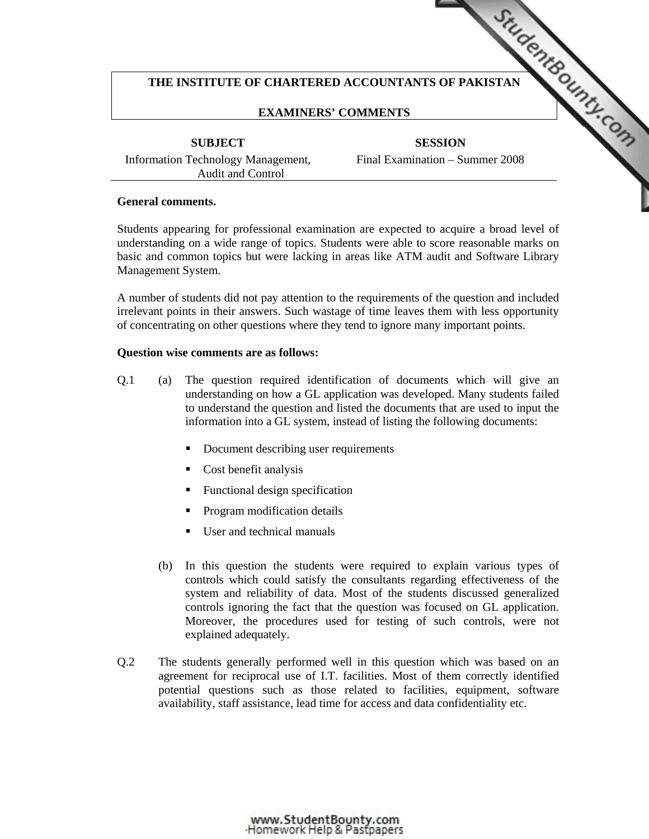# THE INSTITUTE OF CHARTERED ACCOUNTANTS OF PAKISTAN **COUNTAINS OF ALS ALSO ASSESS**

# **EXAMINERS' COMMENTS**

**SUBJECT** 

**SESSION**  Final Examinati[on – Summer 2008](http://www.studentbounty.com/) 

Information Technology Management, Audit and Control

### **General comments.**

Students appearing for professional examination are expected to acquire a broad level of understanding on a wide range of topics. Students were able to score reasonable marks on basic and common topics but were lacking in areas like ATM audit and Software Library Management System.

A number of students did not pay attention to the requirements of the question and included irrelevant points in their answers. Such wastage of time leaves them with less opportunity of concentrating on other questions where they tend to ignore many important points.

### **Question wise comments are as follows:**

- Q.1 (a) The question required identification of documents which will give an understanding on how a GL application was developed. Many students failed to understand the question and listed the documents that are used to input the information into a GL system, instead of listing the following documents:
	- Document describing user requirements
	- Cost benefit analysis
	- Functional design specification
	- Program modification details
	- User and technical manuals
	- (b) In this question the students were required to explain various types of controls which could satisfy the consultants regarding effectiveness of the system and reliability of data. Most of the students discussed generalized controls ignoring the fact that the question was focused on GL application. Moreover, the procedures used for testing of such controls, were not explained adequately.
- Q.2 The students generally performed well in this question which was based on an agreement for reciprocal use of I.T. facilities. Most of them correctly identified potential questions such as those related to facilities, equipment, software availability, staff assistance, lead time for access and data confidentiality etc.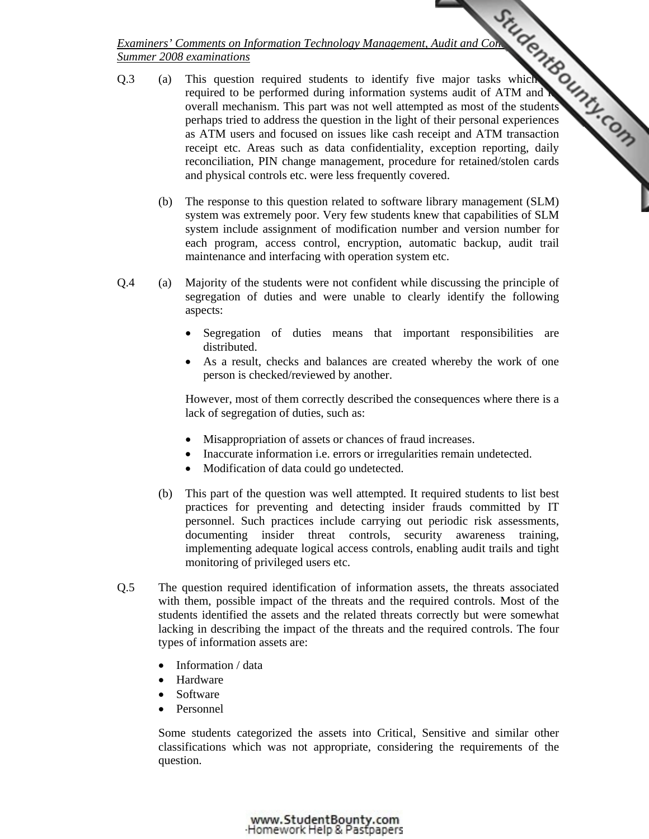- Q.3 (a) This question required students to identify five major tasks which required to be performed during information systems audit of ATM and **N** overall mechanism. This part was not well attempted as most of the students perhaps tried to address the question in the light of their personal experiences as ATM users and focused on issues like cash receipt and ATM transaction receipt etc. Areas such as data confidentiality, exception reporting, daily reconciliation, PIN change management, procedure for retained/stolen cards and physical controls etc. were less frequently covered.
	- (b) The response to this question related to software library management (SLM) system was extremely poor. Very few students knew that capabilities of SLM system include assignment of modification number and version number for each program, access control, encryption, automatic backup, audit trail maintenance and interfacing with operation system etc.
- Q.4 (a) Majority of the students were not confident while discussing the principle of segregation of duties and were unable to clearly identify the following aspects:
	- Segregation of duties means that important responsibilities are distributed.
	- As a result, checks and balances are created whereby the work of one person is checked/reviewed by another.

However, most of them correctly described the consequences where there is a lack of segregation of duties, such as:

- Misappropriation of assets or chances of fraud increases.
- Inaccurate information i.e. errors or irregularities remain undetected.
- Modification of data could go undetected.
- (b) This part of the question was well attempted. It required students to list best practices for preventing and detecting insider frauds committed by IT personnel. Such practices include carrying out periodic risk assessments, documenting insider threat controls, security awareness training, implementing adequate logical access controls, enabling audit trails and tight monitoring of privileged users etc.
- Q.5 The question required identification of information assets, the threats associated with them, possible impact of the threats and the required controls. Most of the students identified the assets and the related threats correctly but were somewhat lacking in describing the impact of the threats and the required controls. The four types of information assets are:
	- Information / data
	- **Hardware**
	- **Software**
	- Personnel

Some students categorized the assets into Critical, Sensitive and similar other classifications which was not appropriate, considering the requirements of the question.

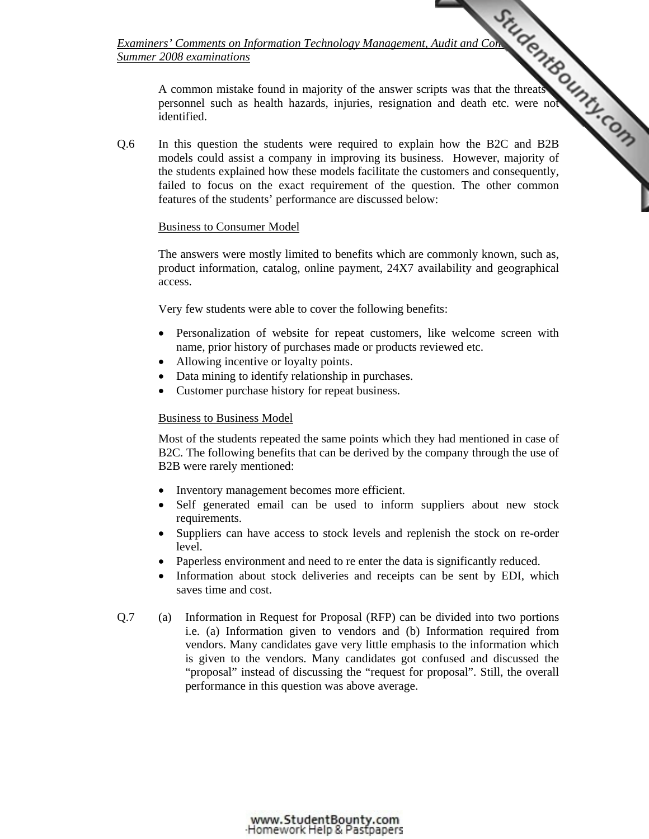> A common mistake found in majority of the answer scripts was that the threats personnel such as health hazards, injuries, resignation and death etc. were not identified.

Q.6 In this question the students were required to explain [how the B2C and B2B](http://www.studentbounty.com/)  models could assist a company in improving its business. However, majority of the students explained how these models facilitate the customers and consequently, failed to focus on the exact requirement of the question. The other common features of the students' performance are discussed below:

## Business to Consumer Model

The answers were mostly limited to benefits which are commonly known, such as, product information, catalog, online payment, 24X7 availability and geographical access.

Very few students were able to cover the following benefits:

- Personalization of website for repeat customers, like welcome screen with name, prior history of purchases made or products reviewed etc.
- Allowing incentive or loyalty points.
- Data mining to identify relationship in purchases.
- Customer purchase history for repeat business.

# Business to Business Model

Most of the students repeated the same points which they had mentioned in case of B2C. The following benefits that can be derived by the company through the use of B2B were rarely mentioned:

- Inventory management becomes more efficient.
- Self generated email can be used to inform suppliers about new stock requirements.
- Suppliers can have access to stock levels and replenish the stock on re-order level.
- Paperless environment and need to re enter the data is significantly reduced.
- Information about stock deliveries and receipts can be sent by EDI, which saves time and cost.
- Q.7 (a) Information in Request for Proposal (RFP) can be divided into two portions i.e. (a) Information given to vendors and (b) Information required from vendors. Many candidates gave very little emphasis to the information which is given to the vendors. Many candidates got confused and discussed the "proposal" instead of discussing the "request for proposal". Still, the overall performance in this question was above average.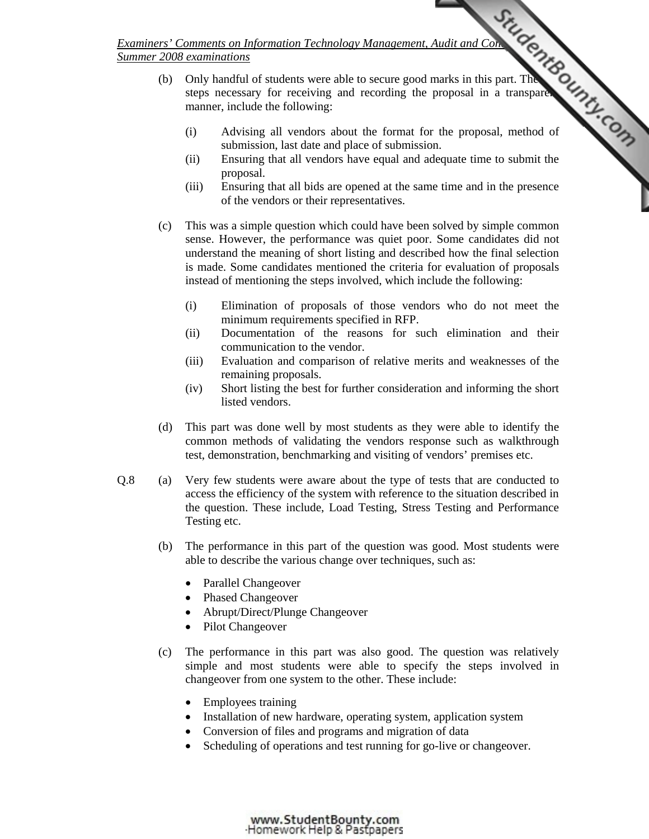- (b) Only handful of students were able to secure good marks in this part. The steps necessary for receiving and recording the proposal in a transparent manner, include the following:
- (i) Advising all vendors about the format for [the proposal, method of](http://www.studentbounty.com/)  submission, last date and place of submission.
	- (ii) Ensuring that all vendors have equal and adequate time to submit the proposal.
	- (iii) Ensuring that all bids are opened at the same time and in the presence of the vendors or their representatives.
	- (c) This was a simple question which could have been solved by simple common sense. However, the performance was quiet poor. Some candidates did not understand the meaning of short listing and described how the final selection is made. Some candidates mentioned the criteria for evaluation of proposals instead of mentioning the steps involved, which include the following:
		- (i) Elimination of proposals of those vendors who do not meet the minimum requirements specified in RFP.
		- (ii) Documentation of the reasons for such elimination and their communication to the vendor.
		- (iii) Evaluation and comparison of relative merits and weaknesses of the remaining proposals.
		- (iv) Short listing the best for further consideration and informing the short listed vendors.
	- (d) This part was done well by most students as they were able to identify the common methods of validating the vendors response such as walkthrough test, demonstration, benchmarking and visiting of vendors' premises etc.
- Q.8 (a) Very few students were aware about the type of tests that are conducted to access the efficiency of the system with reference to the situation described in the question. These include, Load Testing, Stress Testing and Performance Testing etc.
	- (b) The performance in this part of the question was good. Most students were able to describe the various change over techniques, such as:
		- Parallel Changeover
		- Phased Changeover
		- Abrupt/Direct/Plunge Changeover
		- Pilot Changeover
	- (c) The performance in this part was also good. The question was relatively simple and most students were able to specify the steps involved in changeover from one system to the other. These include:
		- Employees training
		- Installation of new hardware, operating system, application system
		- Conversion of files and programs and migration of data
		- Scheduling of operations and test running for go-live or changeover.

www.StudentBounty.com<br>Homework Help & Pastpapers